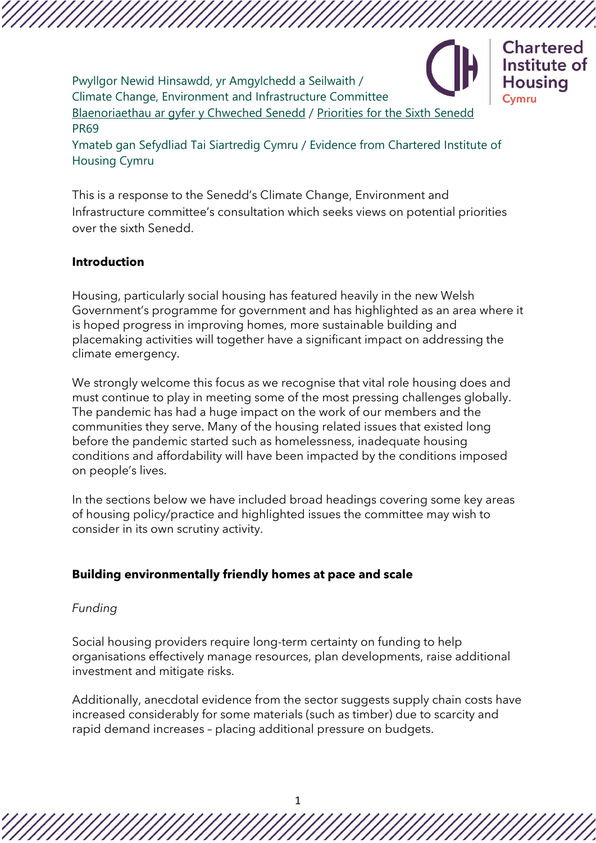Pwyllgor Newid Hinsawdd, yr Amgylchedd a Seilwaith / Climate Change, Environment and Infrastructure Committee [Blaenoriaethau ar gyfer y Chweched Senedd](https://busnes.senedd.cymru/mgConsultationDisplay.aspx?id=427&RPID=1026452002&cp=yes) / [Priorities for the Sixth Senedd](https://business.senedd.wales/mgConsultationDisplay.aspx?id=427&RPID=1026452002&cp=yes) PR69



Ymateb gan Sefydliad Tai Siartredig Cymru / Evidence from Chartered Institute of Housing Cymru

This is a response to the Senedd's Climate Change, Environment and Infrastructure committee's consultation which seeks views on potential priorities over the sixth Senedd.

### **Introduction**

Housing, particularly social housing has featured heavily in the new Welsh Government's programme for government and has highlighted as an area where it is hoped progress in improving homes, more sustainable building and placemaking activities will together have a significant impact on addressing the climate emergency.

We strongly welcome this focus as we recognise that vital role housing does and must continue to play in meeting some of the most pressing challenges globally. The pandemic has had a huge impact on the work of our members and the communities they serve. Many of the housing related issues that existed long before the pandemic started such as homelessness, inadequate housing conditions and affordability will have been impacted by the conditions imposed on people's lives.

In the sections below we have included broad headings covering some key areas of housing policy/practice and highlighted issues the committee may wish to consider in its own scrutiny activity.

#### **Building environmentally friendly homes at pace and scale**

#### *Funding*

Social housing providers require long-term certainty on funding to help organisations effectively manage resources, plan developments, raise additional investment and mitigate risks.

Additionally, anecdotal evidence from the sector suggests supply chain costs have increased considerably for some materials (such as timber) due to scarcity and rapid demand increases – placing additional pressure on budgets.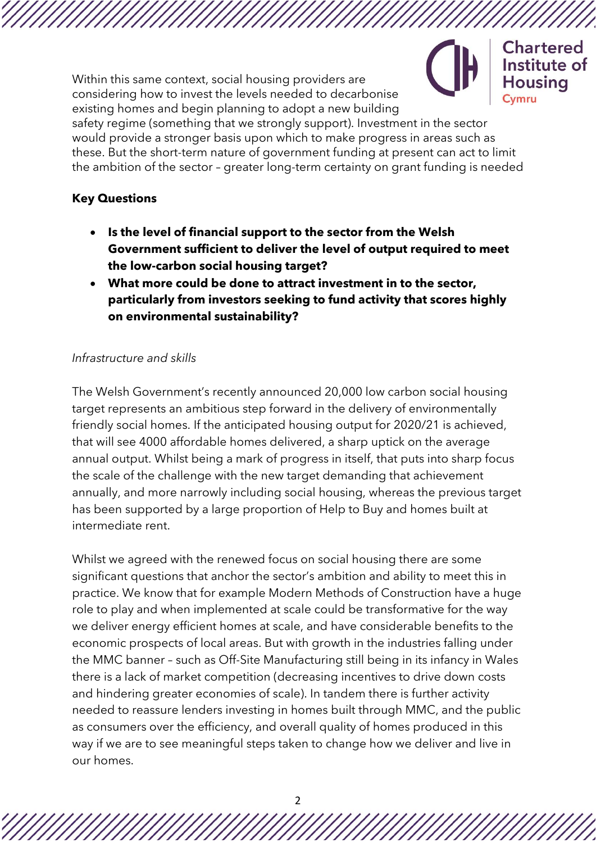Within this same context, social housing providers are considering how to invest the levels needed to decarbonise existing homes and begin planning to adopt a new building



Chartered Institute of Housina

safety regime (something that we strongly support). Investment in the sector would provide a stronger basis upon which to make progress in areas such as these. But the short-term nature of government funding at present can act to limit the ambition of the sector – greater long-term certainty on grant funding is needed

### **Key Questions**

- **Is the level of financial support to the sector from the Welsh Government sufficient to deliver the level of output required to meet the low-carbon social housing target?**
- **What more could be done to attract investment in to the sector, particularly from investors seeking to fund activity that scores highly on environmental sustainability?**

# *Infrastructure and skills*

The Welsh Government's recently announced 20,000 low carbon social housing target represents an ambitious step forward in the delivery of environmentally friendly social homes. If the anticipated housing output for 2020/21 is achieved, that will see 4000 affordable homes delivered, a sharp uptick on the average annual output. Whilst being a mark of progress in itself, that puts into sharp focus the scale of the challenge with the new target demanding that achievement annually, and more narrowly including social housing, whereas the previous target has been supported by a large proportion of Help to Buy and homes built at intermediate rent.

Whilst we agreed with the renewed focus on social housing there are some significant questions that anchor the sector's ambition and ability to meet this in practice. We know that for example Modern Methods of Construction have a huge role to play and when implemented at scale could be transformative for the way we deliver energy efficient homes at scale, and have considerable benefits to the economic prospects of local areas. But with growth in the industries falling under the MMC banner – such as Off-Site Manufacturing still being in its infancy in Wales there is a lack of market competition (decreasing incentives to drive down costs and hindering greater economies of scale). In tandem there is further activity needed to reassure lenders investing in homes built through MMC, and the public as consumers over the efficiency, and overall quality of homes produced in this way if we are to see meaningful steps taken to change how we deliver and live in our homes.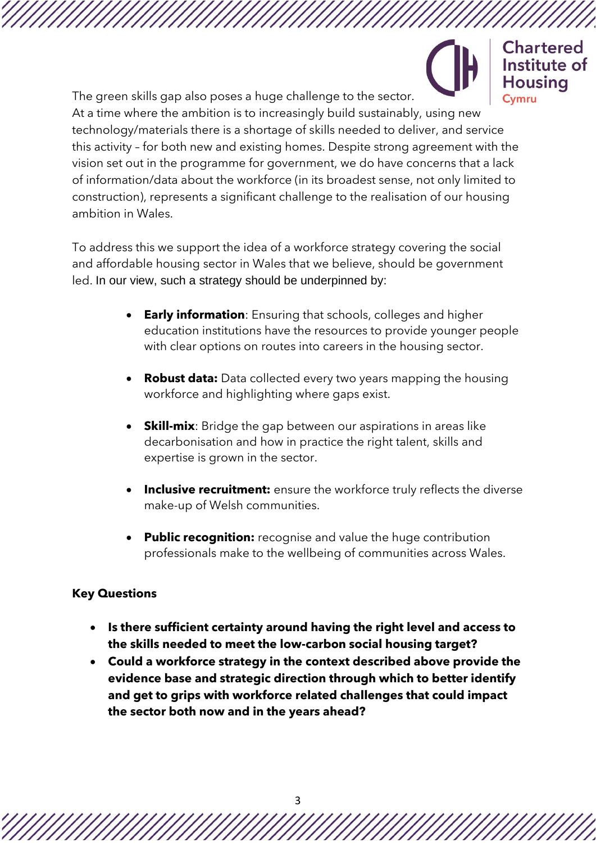**Chartered** Institute of Housina

The green skills gap also poses a huge challenge to the sector. At a time where the ambition is to increasingly build sustainably, using new technology/materials there is a shortage of skills needed to deliver, and service this activity – for both new and existing homes. Despite strong agreement with the vision set out in the programme for government, we do have concerns that a lack of information/data about the workforce (in its broadest sense, not only limited to construction), represents a significant challenge to the realisation of our housing ambition in Wales.

To address this we support the idea of a workforce strategy covering the social and affordable housing sector in Wales that we believe, should be government led. In our view, such a strategy should be underpinned by:

- **Early information**: Ensuring that schools, colleges and higher education institutions have the resources to provide younger people with clear options on routes into careers in the housing sector.
- **Robust data:** Data collected every two years mapping the housing workforce and highlighting where gaps exist.
- **Skill-mix**: Bridge the gap between our aspirations in areas like decarbonisation and how in practice the right talent, skills and expertise is grown in the sector.
- **Inclusive recruitment:** ensure the workforce truly reflects the diverse make-up of Welsh communities.
- **Public recognition:** recognise and value the huge contribution professionals make to the wellbeing of communities across Wales.

# **Key Questions**

- **Is there sufficient certainty around having the right level and access to the skills needed to meet the low-carbon social housing target?**
- **Could a workforce strategy in the context described above provide the evidence base and strategic direction through which to better identify and get to grips with workforce related challenges that could impact the sector both now and in the years ahead?**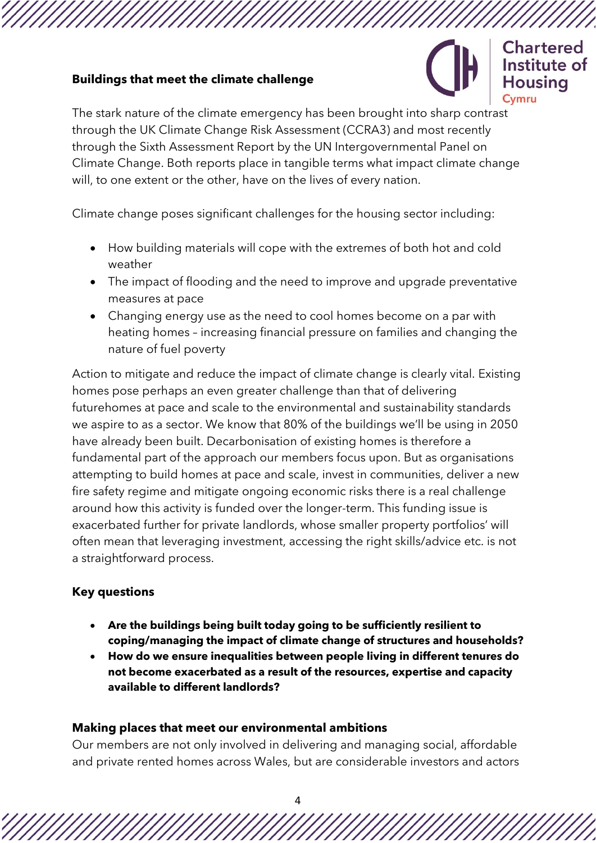### **Buildings that meet the climate challenge**



**Chartered** Institute of Housina Cvmru

The stark nature of the climate emergency has been brought into sharp contrast through the UK Climate Change Risk Assessment (CCRA3) and most recently through the Sixth Assessment Report by the UN Intergovernmental Panel on Climate Change. Both reports place in tangible terms what impact climate change will, to one extent or the other, have on the lives of every nation.

Climate change poses significant challenges for the housing sector including:

- How building materials will cope with the extremes of both hot and cold weather
- The impact of flooding and the need to improve and upgrade preventative measures at pace
- Changing energy use as the need to cool homes become on a par with heating homes – increasing financial pressure on families and changing the nature of fuel poverty

Action to mitigate and reduce the impact of climate change is clearly vital. Existing homes pose perhaps an even greater challenge than that of delivering futurehomes at pace and scale to the environmental and sustainability standards we aspire to as a sector. We know that 80% of the buildings we'll be using in 2050 have already been built. Decarbonisation of existing homes is therefore a fundamental part of the approach our members focus upon. But as organisations attempting to build homes at pace and scale, invest in communities, deliver a new fire safety regime and mitigate ongoing economic risks there is a real challenge around how this activity is funded over the longer-term. This funding issue is exacerbated further for private landlords, whose smaller property portfolios' will often mean that leveraging investment, accessing the right skills/advice etc. is not a straightforward process.

# **Key questions**

- **Are the buildings being built today going to be sufficiently resilient to coping/managing the impact of climate change of structures and households?**
- **How do we ensure inequalities between people living in different tenures do not become exacerbated as a result of the resources, expertise and capacity available to different landlords?**

### **Making places that meet our environmental ambitions**

Our members are not only involved in delivering and managing social, affordable and private rented homes across Wales, but are considerable investors and actors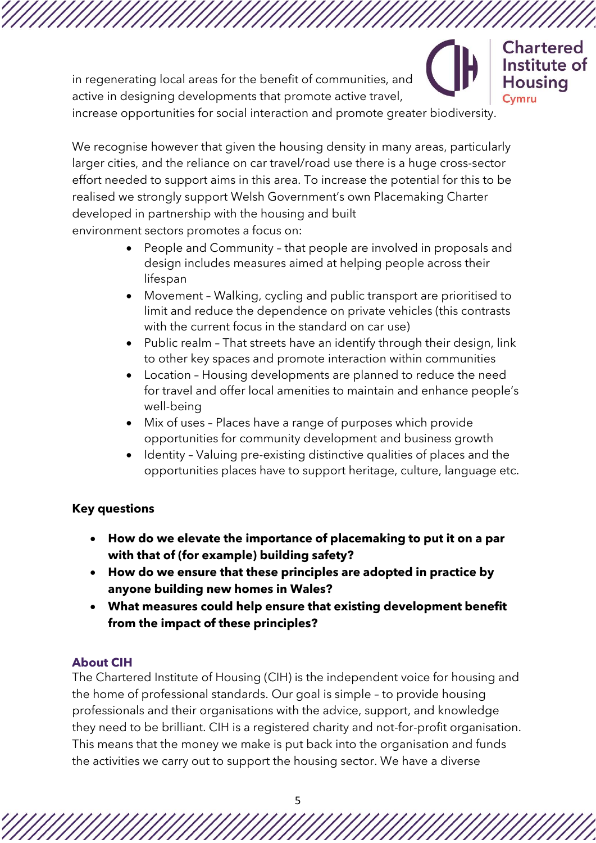in regenerating local areas for the benefit of communities, and active in designing developments that promote active travel,

**Chartered** Institute of Housina Cvmru

increase opportunities for social interaction and promote greater biodiversity.

We recognise however that given the housing density in many areas, particularly larger cities, and the reliance on car travel/road use there is a huge cross-sector effort needed to support aims in this area. To increase the potential for this to be realised we strongly support Welsh Government's own Placemaking Charter developed in partnership with the housing and built environment sectors promotes a focus on:

- People and Community that people are involved in proposals and design includes measures aimed at helping people across their lifespan
- Movement Walking, cycling and public transport are prioritised to limit and reduce the dependence on private vehicles (this contrasts with the current focus in the standard on car use)
- Public realm That streets have an identify through their design, link to other key spaces and promote interaction within communities
- Location Housing developments are planned to reduce the need for travel and offer local amenities to maintain and enhance people's well-being
- Mix of uses Places have a range of purposes which provide opportunities for community development and business growth
- Identity Valuing pre-existing distinctive qualities of places and the opportunities places have to support heritage, culture, language etc.

# **Key questions**

- **How do we elevate the importance of placemaking to put it on a par with that of (for example) building safety?**
- **How do we ensure that these principles are adopted in practice by anyone building new homes in Wales?**
- **What measures could help ensure that existing development benefit from the impact of these principles?**

# **About CIH**

The Chartered Institute of Housing (CIH) is the independent voice for housing and the home of professional standards. Our goal is simple – to provide housing professionals and their organisations with the advice, support, and knowledge they need to be brilliant. CIH is a registered charity and not-for-profit organisation. This means that the money we make is put back into the organisation and funds the activities we carry out to support the housing sector. We have a diverse